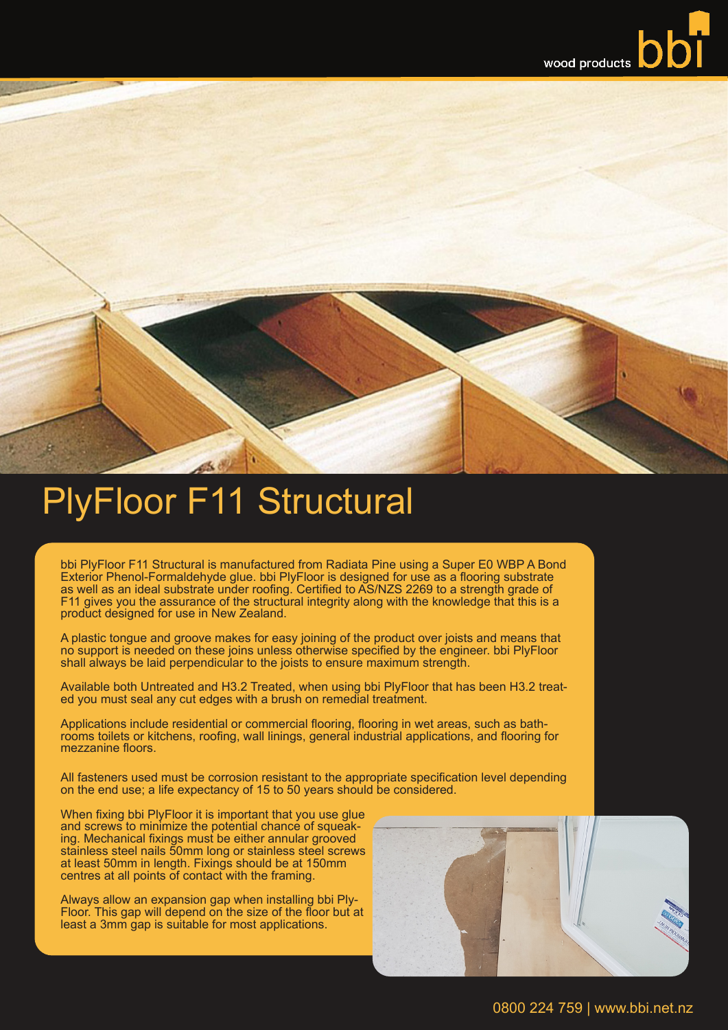## PlyFloor F11 Structural

bbi PlyFloor F11 Structural is manufactured from Radiata Pine using a Super E0 WBP A Bond Exterior Phenol-Formaldehyde glue. bbi PlyFloor is designed for use as a flooring substrate as well as an ideal substrate under roofing. Certified to AS/NZS 2269 to a strength grade of F11 gives you the assurance of the structural integrity along with the knowledge that this is a product designed for use in New Zealand.

A plastic tongue and groove makes for easy joining of the product over joists and means that no support is needed on these joins unless otherwise specified by the engineer. bbi PlyFloor shall always be laid perpendicular to the joists to ensure maximum strength.

Available both Untreated and H3.2 Treated, when using bbi PlyFloor that has been H3.2 treated you must seal any cut edges with a brush on remedial treatment.

Applications include residential or commercial flooring, flooring in wet areas, such as bathrooms toilets or kitchens, roofing, wall linings, general industrial applications, and flooring for mezzanine floors.

All fasteners used must be corrosion resistant to the appropriate specification level depending on the end use; a life expectancy of 15 to 50 years should be considered.

When fixing bbi PlyFloor it is important that you use glue and screws to minimize the potential chance of squeaking. Mechanical fixings must be either annular grooved stainless steel nails 50mm long or stainless steel screws at least 50mm in length. Fixings should be at 150mm centres at all points of contact with the framing.

Always allow an expansion gap when installing bbi Ply- Floor. This gap will depend on the size of the floor but at least a 3mm gap is suitable for most applications.



0800 224 759 | www.bbi.net.nz